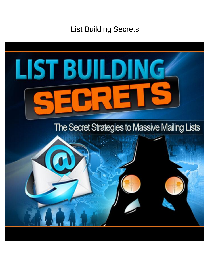# List Building Secrets

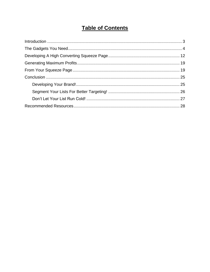## **Table of Contents**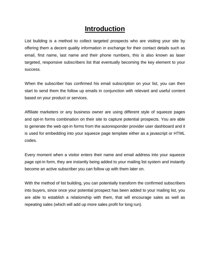## **Introduction**

<span id="page-2-0"></span>List building is a method to collect targeted prospects who are visiting your site by offering them a decent quality information in exchange for their contact details such as email, first name, last name and their phone numbers, this is also known as laser targeted, responsive subscribers list that eventually becoming the key element to your success.

When the subscriber has confirmed his email subscription on your list, you can then start to send them the follow up emails in conjunction with relevant and useful content based on your product or services.

Affiliate marketers or any business owner are using different style of squeeze pages and opt-in forms combination on their site to capture potential prospects. You are able to generate the web opt-in forms from the autoresponder provider user dashboard and it is used for embedding into your squeeze page template either as a javascript or HTML codes.

Every moment when a visitor enters their name and email address into your squeeze page opt-in form, they are instantly being added to your mailing list system and instantly become an active subscriber you can follow up with them later on.

With the method of list building, you can potentially transform the confirmed subscribers into buyers, since once your potential prospect has been added to your mailing list, you are able to establish a relationship with them, that will encourage sales as well as repeating sales (which will add up more sales profit for long run).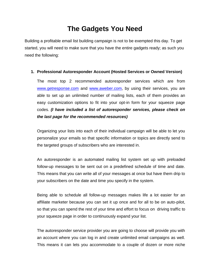## **The Gadgets You Need**

<span id="page-3-0"></span>Building a profitable email list building campaign is not to be exempted this day. To get started, you will need to make sure that you have the entire gadgets ready; as such you need the following:

#### **1. Professional Autoresponder Account (Hosted Services or Owned Version)**

The most top 2 recommended autoresponder services which are from [www.getresponse.com](http://www.getresponse.com/index/proceed101) and [www.aweber.com,](http://proceed.aweber.com/) by using their services, you are able to set up an unlimited number of mailing lists, each of them provides an easy customization options to fit into your opt-in form for your squeeze page codes. *(I have included a list of autoresponder services, please check on the last page for the recommended resources)*

Organizing your lists into each of their individual campaign will be able to let you personalize your emails so that specific information or topics are directly send to the targeted groups of subscribers who are interested in.

An autoresponder is an automated mailing list system set up with preloaded follow-up messages to be sent out on a predefined schedule of time and date. This means that you can write all of your messages at once but have them drip to your subscribers on the date and time you specify in the system.

Being able to schedule all follow-up messages makes life a lot easier for an affiliate marketer because you can set it up once and for all to be on auto-pilot, so that you can spend the rest of your time and effort to focus on driving traffic to your squeeze page in order to continuously expand your list.

The autoresponder service provider you are going to choose will provide you with an account where you can log in and create unlimited email campaigns as well. This means it can lets you accommodate to a couple of dozen or more niche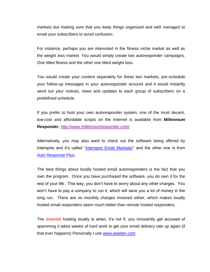markets but making sure that you keep things organized and well managed to email your subscribers to avoid confusion.

For instance, perhaps you are interested in the fitness niche market as well as the weight loss market. You would simply create two autoresponder campaigns. One titled fitness and the other one titled weight loss.

You would create your content separately for these two markets, pre-schedule your follow-up messages in your autoresponder account and it would instantly send out your notices, news and updates to each group of subscribers on a predefined schedule.

If you prefer to host your own autoresponder system, one of the most decent, low-cost and affordable scripts on the Internet is available from **Millennium Responder**,<http://www.millenniumresponder.com/>

Alternatively, you may also want to check out the software being offered by Interspire and it's called "*Interspire Email Marketer*" and the other one is from [Auto Response Plus.](http://www.autoresponseplus.com/)

The best things about locally hosted email autoresponders is the fact that you own the program. Once you have purchased the software, you do own it for the rest of your life. This way, you don't have to worry about any other charges. You won't have to pay a company to run it, which will save you a lot of money in the long run. There are no monthly charges involved either, which makes locally hosted email responders seem much better than remote hosted responders.

The downfall hosting locally is when, it's not if, you innocently get accused of spamming it takes weeks of hard work to get your email delivery rate up again (if that ever happens) Personally I use [www.aweber.com](http://proceed.aweber.com/)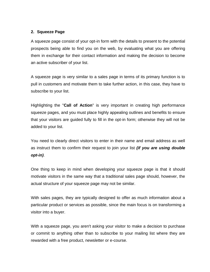#### **2. Squeeze Page**

A squeeze page consist of your opt-in form with the details to present to the potential prospects being able to find you on the web, by evaluating what you are offering them in exchange for their contact information and making the decision to become an active subscriber of your list.

A squeeze page is very similar to a sales page in terms of its primary function is to pull in customers and motivate them to take further action, in this case, they have to subscribe to your list.

Highlighting the "**Call of Action**" is very important in creating high performance squeeze pages, and you must place highly appealing outlines and benefits to ensure that your visitors are guided fully to fill in the opt-in form; otherwise they will not be added to your list.

You need to clearly direct visitors to enter in their name and email address as well as instruct them to confirm their request to join your list *(if you are using double opt-in)*.

One thing to keep in mind when developing your squeeze page is that it should motivate visitors in the same way that a traditional sales page should, however, the actual structure of your squeeze page may not be similar.

With sales pages, they are typically designed to offer as much information about a particular product or services as possible, since the main focus is on transforming a visitor into a buyer.

With a squeeze page, you aren't asking your visitor to make a decision to purchase or commit to anything other than to subscribe to your mailing list where they are rewarded with a free product, newsletter or e-course.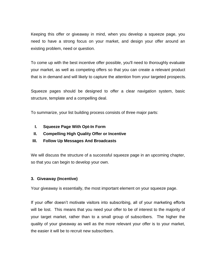Keeping this offer or giveaway in mind, when you develop a squeeze page, you need to have a strong focus on your market, and design your offer around an existing problem, need or question.

To come up with the best incentive offer possible, you'll need to thoroughly evaluate your market, as well as competing offers so that you can create a relevant product that is in demand and will likely to capture the attention from your targeted prospects.

Squeeze pages should be designed to offer a clear navigation system, basic structure, template and a compelling deal.

To summarize, your list building process consists of three major parts:

- **I. Squeeze Page With Opt-In Form**
- **II. Compelling High Quality Offer or Incentive**
- **III. Follow Up Messages And Broadcasts**

We will discuss the structure of a successful squeeze page in an upcoming chapter, so that you can begin to develop your own.

### **3. Giveaway (Incentive)**

Your giveaway is essentially, the most important element on your squeeze page.

If your offer doesn't motivate visitors into subscribing, all of your marketing efforts will be lost. This means that you need your offer to be of interest to the majority of your target market, rather than to a small group of subscribers. The higher the quality of your giveaway as well as the more relevant your offer is to your market, the easier it will be to recruit new subscribers.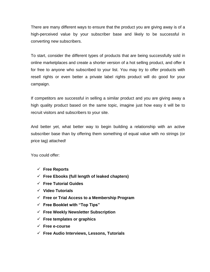There are many different ways to ensure that the product you are giving away is of a high-perceived value by your subscriber base and likely to be successful in converting new subscribers.

To start, consider the different types of products that are being successfully sold in online marketplaces and create a shorter version of a hot selling product, and offer it for free to anyone who subscribed to your list. You may try to offer products with resell rights or even better a private label rights product will do good for your campaign.

If competitors are successful in selling a similar product and you are giving away a high quality product based on the same topic, imagine just how easy it will be to recruit visitors and subscribers to your site.

And better yet, what better way to begin building a relationship with an active subscriber base than by offering them something of equal value with no strings (or price tag) attached!

You could offer:

- **Free Reports**
- **Free Ebooks (full length of leaked chapters)**
- **Free Tutorial Guides**
- **Video Tutorials**
- **Free or Trial Access to a Membership Program**
- **Free Booklet with "Top Tips"**
- **Free Weekly Newsletter Subscription**
- **Free templates or graphics**
- **Free e-course**
- **Free Audio Interviews, Lessons, Tutorials**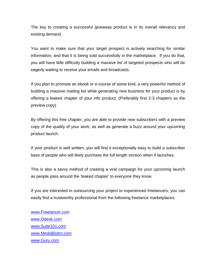The key to creating a successful giveaway product is in its overall relevancy and existing demand.

You want to make sure that your target prospect is actively searching for similar information, and that it is being sold successfully in the marketplace. If you do that, you will have little difficulty building a massive list of targeted prospects who will be eagerly waiting to receive your emails and broadcasts.

If you plan to promote an ebook or e-course of some kind, a very powerful method of building a massive mailing list while generating new business for your product is by offering a leaked chapter of your info product. (Preferably first 2-3 chapters as the preview copy)

By offering this free chapter, you are able to provide new subscribers with a preview copy of the quality of your work, as well as generate a buzz around your upcoming product launch.

If your product is well written, you will find it exceptionally easy to build a subscriber base of people who will likely purchase the full length version when it launches.

This is also a savvy method of creating a viral campaign for your upcoming launch as people pass around the 'leaked chapter' to everyone they know.

If you are interested in outsourcing your project to experienced freelancers, you can easily find a trustworthy professional from the following freelance marketplaces:

[www.Freelancer.com](http://www.freelancer.com/) [www.Odesk.com](http://www.odesk.com/) [www.Suite101.com](http://www.suite101.com/) [www.MediaBistro.com](http://www.mediabistro.com/) [www.Guru.com](http://www.guru.com/)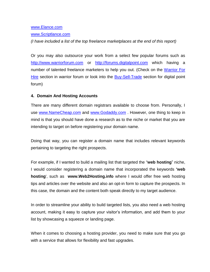#### [www.Elance.com](http://www.elance.com/)

[www.Scriptlance.com](http://www.scriptlance.com/)

*(I have included a list of the top freelance marketplaces at the end of this report)* 

Or you may also outsource your work from a select few popular forums such as [http://www.warriorforum.com](http://www.warriorforum.com/) or [http://forums.digitalpoint.com](http://forums.digitalpoint.com/) which having a number of talented freelance marketers to help you out. (Check on the [Warrior For](http://www.warriorforum.com/warriors-hire/)  [Hire](http://www.warriorforum.com/warriors-hire/) section in warrior forum or look into the [Buy-Sell-Trade](http://forums.digitalpoint.com/forumdisplay.php?f=24&s=40bc82e41761ba4c3ddf0e0435c0cf54) section for digital point forum)

#### **4. Domain And Hosting Accounts**

There are many different domain registrars available to choose from. Personally, I use [www.NameCheap.com](http://www.namecheap.com/) and [www.Godaddy.com](http://www.godaddy.com/). However, one thing to keep in mind is that you should have done a research as to the niche or market that you are intending to target on before registering your domain name.

Doing that way, you can register a domain name that includes relevant keywords pertaining to targeting the right prospects.

For example, if I wanted to build a mailing list that targeted the "**web hosting**" niche, I would consider registering a domain name that incorporated the keywords **'web hosting**', such as **www.Web2Hosting.info** where I would offer free web hosting tips and articles over the website and also an opt-in form to capture the prospects. In this case, the domain and the content both speak directly to my target audience.

In order to streamline your ability to build targeted lists, you also need a web hosting account, making it easy to capture your visitor's information, and add them to your list by showcasing a squeeze or landing page.

When it comes to choosing a hosting provider, you need to make sure that you go with a service that allows for flexibility and fast upgrades.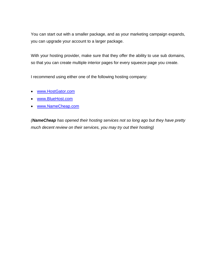You can start out with a smaller package, and as your marketing campaign expands, you can upgrade your account to a larger package.

With your hosting provider, make sure that they offer the ability to use sub domains, so that you can create multiple interior pages for every squeeze page you create.

I recommend using either one of the following hosting company:

- [www.HostGator.com](http://sleekurl.com/?hg)
- [www.BlueHost.com](http://www.bluehost.com/)
- [www.NameCheap.com](http://www.namecheap.com/)

*(NameCheap has opened their hosting services not so long ago but they have pretty much decent review on their services, you may try out their hosting)*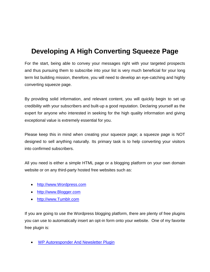## <span id="page-11-0"></span>**Developing A High Converting Squeeze Page**

For the start, being able to convey your messages right with your targeted prospects and thus pursuing them to subscribe into your list is very much beneficial for your long term list building mission, therefore, you will need to develop an eye-catching and highly converting squeeze page.

By providing solid information, and relevant content, you will quickly begin to set up credibility with your subscribers and built-up a good reputation. Declaring yourself as the expert for anyone who interested in seeking for the high quality information and giving exceptional value is extremely essential for you.

Please keep this in mind when creating your squeeze page; a squeeze page is NOT designed to sell anything naturally. Its primary task is to help converting your visitors into confirmed subscribers.

All you need is either a simple HTML page or a blogging platform on your own domain website or on any third-party hosted free websites such as:

- [http://www.Wordpress.com](http://www.wordpress.com/)
- [http://www.Blogger.com](http://www.blogger.com/)
- [http://www.Tumblr.com](http://www.tumblr.com/)

If you are going to use the Wordpress blogging platform, there are plenty of free plugins you can use to automatically insert an opt-in form onto your website. One of my favorite free plugin is:

[WP Autoresponder And Newsletter Plugin](http://wordpress.org/extend/plugins/wp-responder-email-autoresponder-and-newsletter-plugin/)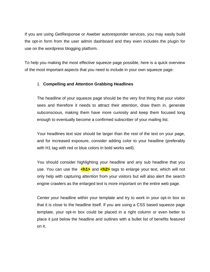If you are using GetResponse or Aweber autoresponder services, you may easily build the opt-in form from the user admin dashboard and they even includes the plugin for use on the wordpress blogging platform.

To help you making the most effective squeeze page possible, here is a quick overview of the most important aspects that you need to include in your own squeeze page:

### 1. **Compelling and Attention Grabbing Headlines**

The headline of your squeeze page should be the very first thing that your visitor sees and therefore it needs to attract their attention, draw them in, generate subconscious, making them have more curiosity and keep them focused long enough to eventually become a confirmed subscriber of your mailing list.

Your headlines text size should be larger than the rest of the text on your page, and for increased exposure, consider adding color to your headline (preferably with H1 tag with red or blue colors in bold works well).

You should consider highlighting your headline and any sub headline that you use. You can use the **<h1>** and **<h2>** tags to enlarge your text, which will not only help with capturing attention from your visitors but will also alert the search engine crawlers as the enlarged text is more important on the entire web page.

Center your headline within your template and try to work in your opt-in box so that it is close to the headline itself. If you are using a CSS based squeeze page template, your opt-in box could be placed in a right column or even better to place it just below the headline and outlines with a bullet list of benefits featured on it.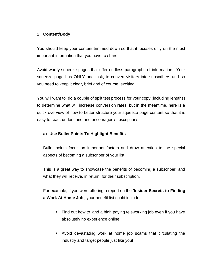#### 2. **Content/Body**

You should keep your content trimmed down so that it focuses only on the most important information that you have to share.

Avoid wordy squeeze pages that offer endless paragraphs of information. Your squeeze page has ONLY one task, to convert visitors into subscribers and so you need to keep it clear, brief and of course, exciting!

You will want to do a couple of split test process for your copy (including lengths) to determine what will increase conversion rates, but in the meantime, here is a quick overview of how to better structure your squeeze page content so that it is easy to read, understand and encourages subscriptions:

### **a) Use Bullet Points To Highlight Benefits**

Bullet points focus on important factors and draw attention to the special aspects of becoming a subscriber of your list.

This is a great way to showcase the benefits of becoming a subscriber, and what they will receive, in return, for their subscription.

For example, if you were offering a report on the **'Insider Secrets to Finding a Work At Home Job**', your benefit list could include:

- Find out how to land a high paying teleworking job even if you have absolutely no experience online!
- Avoid devastating work at home job scams that circulating the industry and target people just like you!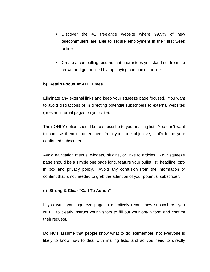- Discover the #1 freelance website where 99.9% of new telecommuters are able to secure employment in their first week online.
- Create a compelling resume that guarantees you stand out from the crowd and get noticed by top paying companies online!

#### **b) Retain Focus At ALL Times**

Eliminate any external links and keep your squeeze page focused. You want to avoid distractions or in directing potential subscribers to external websites (or even internal pages on your site).

Their ONLY option should be to subscribe to your mailing list. You don't want to confuse them or deter them from your one objective; that's to be your confirmed subscriber.

Avoid navigation menus, widgets, plugins, or links to articles. Your squeeze page should be a simple one page long, feature your bullet list, headline, optin box and privacy policy. Avoid any confusion from the information or content that is not needed to grab the attention of your potential subscriber.

#### **c) Strong & Clear "Call To Action"**

If you want your squeeze page to effectively recruit new subscribers, you NEED to clearly instruct your visitors to fill out your opt-in form and confirm their request.

Do NOT assume that people know what to do. Remember, not everyone is likely to know how to deal with mailing lists, and so you need to directly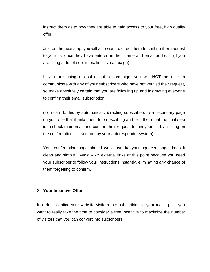instruct them as to how they are able to gain access to your free, high quality offer.

Just on the next step, you will also want to direct them to confirm their request to your list once they have entered in their name and email address. (If you are using a double opt-in mailing list campaign)

If you are using a double opt-in campaign, you will NOT be able to communicate with any of your subscribers who have not verified their request, so make absolutely certain that you are following up and instructing everyone to confirm their email subscription.

(You can do this by automatically directing subscribers to a secondary page on your site that thanks them for subscribing and tells them that the final step is to check their email and confirm their request to join your list by clicking on the confirmation link sent out by your autoresponder system).

Your confirmation page should work just like your squeeze page, keep it clean and simple. Avoid ANY external links at this point because you need your subscriber to follow your instructions instantly, eliminating any chance of them forgetting to confirm.

#### 3. **Your Incentive Offer**

In order to entice your website visitors into subscribing to your mailing list, you want to really take the time to consider a free incentive to maximize the number of visitors that you can convert into subscribers.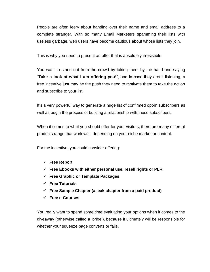People are often leery about handing over their name and email address to a complete stranger. With so many Email Marketers spamming their lists with useless garbage, web users have become cautious about whose lists they join.

This is why you need to present an offer that is absolutely irresistible.

You want to stand out from the crowd by taking them by the hand and saying "**Take a look at what I am offering you!**", and in case they aren't listening, a free incentive just may be the push they need to motivate them to take the action and subscribe to your list.

It's a very powerful way to generate a huge list of confirmed opt-in subscribers as well as begin the process of building a relationship with these subscribers.

When it comes to what you should offer for your visitors, there are many different products range that work well, depending on your niche market or content.

For the incentive, you could consider offering:

- **Free Report**
- **Free Ebooks with either personal use, resell rights or PLR**
- **Free Graphic or Template Packages**
- **Free Tutorials**
- **Free Sample Chapter (a leak chapter from a paid product)**
- **Free e-Courses**

You really want to spend some time evaluating your options when it comes to the giveaway (otherwise called a 'bribe'), because it ultimately will be responsible for whether your squeeze page converts or fails.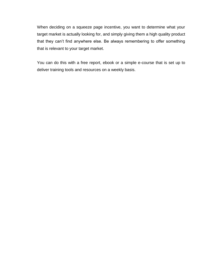When deciding on a squeeze page incentive, you want to determine what your target market is actually looking for, and simply giving them a high quality product that they can't find anywhere else. Be always remembering to offer something that is relevant to your target market.

You can do this with a free report, ebook or a simple e-course that is set up to deliver training tools and resources on a weekly basis.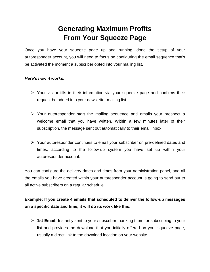## **Generating Maximum Profits From Your Squeeze Page**

<span id="page-18-1"></span><span id="page-18-0"></span>Once you have your squeeze page up and running, done the setup of your autoresponder account, you will need to focus on configuring the email sequence that's be activated the moment a subscriber opted into your mailing list.

#### *Here's how it works:*

- $\triangleright$  Your visitor fills in their information via your squeeze page and confirms their request be added into your newsletter mailing list.
- $\triangleright$  Your autoresponder start the mailing sequence and emails your prospect a welcome email that you have written. Within a few minutes later of their subscription, the message sent out automatically to their email inbox.
- $\triangleright$  Your autoresponder continues to email your subscriber on pre-defined dates and times, according to the follow-up system you have set up within your autoresponder account.

You can configure the delivery dates and times from your administration panel, and all the emails you have created within your autoresponder account is going to send out to all active subscribers on a regular schedule.

**Example: If you create 4 emails that scheduled to deliver the follow-up messages on a specific date and time, it will do its work like this:** 

 **1st Email: I**nstantly sent to your subscriber thanking them for subscribing to your list and provides the download that you initially offered on your squeeze page, usually a direct link to the download location on your website.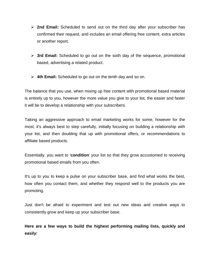- **2nd Email:** Scheduled to send out on the third day after your subscriber has confirmed their request, and includes an email offering free content, extra articles or another report.
- **3rd Email:** Scheduled to go out on the sixth day of the sequence, promotional based, advertising a related product.
- **4th Email:** Scheduled to go out on the tenth day and so on.

The balance that you use, when mixing up free content with promotional based material is entirely up to you, however the more value you give to your list, the easier and faster it will be to develop a relationship with your subscribers.

Taking an aggressive approach to email marketing works for some, however for the most, it's always best to step carefully, initially focusing on building a relationship with your list, and then doubling that up with promotional offers, or recommendations to affiliate based products.

Essentially, you want to '**condition**' your list so that they grow accustomed to receiving promotional based emails from you often.

It's up to you to keep a pulse on your subscriber base, and find what works the best, how often you contact them, and whether they respond well to the products you are promoting.

Just don't be afraid to experiment and test out new ideas and creative ways to consistently grow and keep up your subscriber base.

**Here are a few ways to build the highest performing mailing lists, quickly and easily:**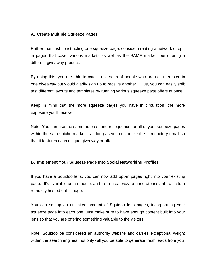#### **A. Create Multiple Squeeze Pages**

Rather than just constructing one squeeze page, consider creating a network of optin pages that cover various markets as well as the SAME market, but offering a different giveaway product.

By doing this, you are able to cater to all sorts of people who are not interested in one giveaway but would gladly sign up to receive another. Plus, you can easily split test different layouts and templates by running various squeeze page offers at once.

Keep in mind that the more squeeze pages you have in circulation, the more exposure you'll receive.

Note: You can use the same autoresponder sequence for all of your squeeze pages within the same niche markets, as long as you customize the introductory email so that it features each unique giveaway or offer.

#### **B. Implement Your Squeeze Page Into Social Networking Profiles**

If you have a Squidoo lens, you can now add opt-in pages right into your existing page. It's available as a module, and it's a great way to generate instant traffic to a remotely hosted opt-in page.

You can set up an unlimited amount of Squidoo lens pages, incorporating your squeeze page into each one. Just make sure to have enough content built into your lens so that you are offering something valuable to the visitors.

Note: Squidoo be considered an authority website and carries exceptional weight within the search engines, not only will you be able to generate fresh leads from your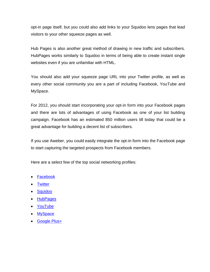opt-in page itself, but you could also add links to your Squidoo lens pages that lead visitors to your other squeeze pages as well.

Hub Pages is also another great method of drawing in new traffic and subscribers. HubPages works similarly to Squidoo in terms of being able to create instant single websites even if you are unfamiliar with HTML.

You should also add your squeeze page URL into your Twitter profile, as well as every other social community you are a part of including Facebook, YouTube and MySpace.

For 2012, you should start incorporating your opt-in form into your Facebook pages and there are lots of advantages of using Facebook as one of your list building campaign. Facebook has an estimated 850 million users till today that could be a great advantage for building a decent list of subscribers.

If you use Aweber, you could easily integrate the opt-in form into the Facebook page to start capturing the targeted prospects from Facebook members.

Here are a select few of the top social networking profiles:

- [Facebook](http://www.facebook.com/)
- [Twitter](http://www.twitter.com/)
- [Squidoo](http://www.squidoo.com/)
- [HubPages](http://www.hubpages.com/)
- [YouTube](http://www.youtube.com/)
- [MySpace](http://www.myspace.com/)
- [Google Plus+](http://plus.google.com/)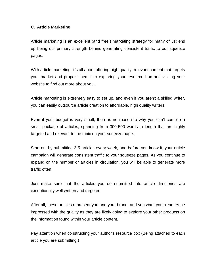#### **C. Article Marketing**

Article marketing is an excellent (and free!) marketing strategy for many of us; end up being our primary strength behind generating consistent traffic to our squeeze pages.

With article marketing, it's all about offering high quality, relevant content that targets your market and propels them into exploring your resource box and visiting your website to find out more about you.

Article marketing is extremely easy to set up, and even if you aren't a skilled writer, you can easily outsource article creation to affordable, high quality writers.

Even if your budget is very small, there is no reason to why you can't compile a small package of articles, spanning from 300-500 words in length that are highly targeted and relevant to the topic on your squeeze page.

Start out by submitting 3-5 articles every week, and before you know it, your article campaign will generate consistent traffic to your squeeze pages. As you continue to expand on the number or articles in circulation, you will be able to generate more traffic often.

Just make sure that the articles you do submitted into article directories are exceptionally well written and targeted.

After all, these articles represent you and your brand, and you want your readers be impressed with the quality as they are likely going to explore your other products on the information found within your article content.

Pay attention when constructing your author's resource box (Being attached to each article you are submitting.)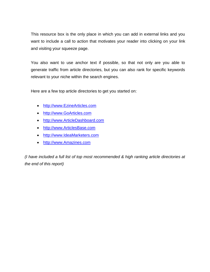This resource box is the only place in which you can add in external links and you want to include a call to action that motivates your reader into clicking on your link and visiting your squeeze page.

You also want to use anchor text if possible, so that not only are you able to generate traffic from article directories, but you can also rank for specific keywords relevant to your niche within the search engines.

Here are a few top article directories to get you started on:

- [http://www.EzineArticles.com](http://www.ezinearticles.com/)
- [http://www.GoArticles.com](http://www.goarticles.com/)
- [http://www.ArticleDashboard.com](http://www.articledashboard.com/)
- [http://www.ArticlesBase.com](http://www.articlesbase.com/)
- [http://www.IdeaMarketers.com](http://www.ideamarketers.com/)
- [http://www.Amazines.com](http://www.amazines.com/)

*(I have included a full list of top most recommended & high ranking article directories at the end of this report)*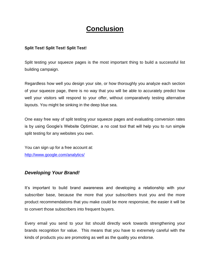## **Conclusion**

#### <span id="page-24-0"></span>**Split Test! Split Test! Split Test!**

Split testing your squeeze pages is the most important thing to build a successful list building campaign.

Regardless how well you design your site, or how thoroughly you analyze each section of your squeeze page, there is no way that you will be able to accurately predict how well your visitors will respond to your offer, without comparatively testing alternative layouts. You might be sinking in the deep blue sea.

One easy free way of split testing your squeeze pages and evaluating conversion rates is by using Google's Website Optimizer, a no cost tool that will help you to run simple split testing for any websites you own.

You can sign up for a free account at: <http://www.google.com/analytics/>

### <span id="page-24-1"></span>*Developing Your Brand!*

It's important to build brand awareness and developing a relationship with your subscriber base, because the more that your subscribers trust you and the more product recommendations that you make could be more responsive, the easier it will be to convert those subscribers into frequent buyers.

Every email you send to your list should directly work towards strengthening your brands recognition for value. This means that you have to extremely careful with the kinds of products you are promoting as well as the quality you endorse.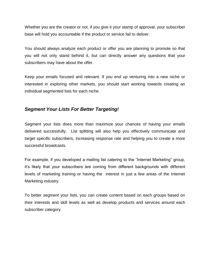Whether you are the creator or not, if you give it your stamp of approval, your subscriber base will hold you accountable if the product or service fail to deliver.

You should always analyze each product or offer you are planning to promote so that you will not only stand behind it, but can directly answer any questions that your subscribers may have about the offer.

Keep your emails focused and relevant. If you end up venturing into a new niche or interested in exploring other markets, you should start working towards creating an individual segmented lists for each niche.

## <span id="page-25-0"></span>*Segment Your Lists For Better Targeting!*

Segment your lists does more than maximize your chances of having your emails delivered successfully. List splitting will also help you effectively communicate and target specific subscribers, increasing response rate and helping you to create a more successful broadcasts.

For example, if you developed a mailing list catering to the "Internet Marketing" group, it's likely that your subscribers are coming from different backgrounds with different levels of marketing training or having the interest in just a few areas of the Internet Marketing industry.

To better segment your lists, you can create content based on each groups based on their interests and skill levels as well as develop products and services around each subscriber category.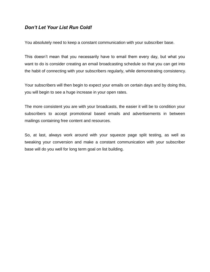### <span id="page-26-0"></span>*Don't Let Your List Run Cold!*

You absolutely need to keep a constant communication with your subscriber base.

This doesn't mean that you necessarily have to email them every day, but what you want to do is consider creating an email broadcasting schedule so that you can get into the habit of connecting with your subscribers regularly, while demonstrating consistency.

Your subscribers will then begin to expect your emails on certain days and by doing this, you will begin to see a huge increase in your open rates.

The more consistent you are with your broadcasts, the easier it will be to condition your subscribers to accept promotional based emails and advertisements in between mailings containing free content and resources.

So, at last, always work around with your squeeze page split testing, as well as tweaking your conversion and make a constant communication with your subscriber base will do you well for long term goal on list building.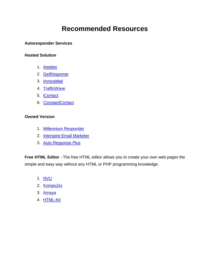## **Recommended Resources**

#### <span id="page-27-0"></span>**Autoresponder Services**

#### **Hosted Solution**

- 1. [Aweber](http://proceed.aweber.com/)
- 2. [GetResponse](http://www.getresponse.com/index/proceed101)
- 3. [ImnicaMail](http://www.imnicamail.com/)
- 4. [TrafficWave](http://www.trafficwave.net/)
- 5. [iContact](http://www.icontact.com/)
- 6. [ConstantContact](http://www.constantcontact.com/)

#### **Owned Version**

- 1. [Millennium Responder](http://www.millenniumresponder.com/)
- 2. [Interspire Email Marketer](http://www.interspire.com/emailmarketer/)
- 3. [Auto Response Plus](http://www.autoresponseplus.com/)

**Free HTML Editor** - The free HTML editor allows you to create your own web pages the simple and easy way without any HTML or PHP programming knowledge.

- 1. [NVU](http://net2.com/nvu/)
- 2. [KompoZer](http://kompozer.net/)
- 3. [Amaya](http://www.w3.org/Amaya/)
- 4. [HTML-Kit](http://www.htmlkit.com/)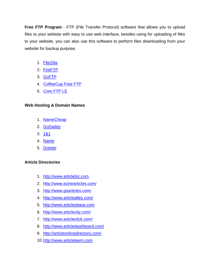**Free FTP Program** - FTP (File Transfer Protocol) software that allows you to upload files to your website with easy to use web interface, besides using for uploading of files to your website, you can also use this software to perform files downloading from your website for backup purpose.

- 1. [FileZilla](http://filezilla-project.org/)
- 2. [FireFTP](http://fireftp.mozdev.org/)
- 3. [GoFTP](http://www.goftp.com/)
- 4. [CoffeeCup Free FTP](http://www.coffeecup.com/free-ftp/)
- 5. [Core FTP LE](http://www.coreftp.com/)

### **Web Hosting & Domain Names**

- 1. [NameCheap](http://www.namecheap.com/)
- 2. [GoDaddy](http://www.godaddy.com/)
- 3. [1&1](http://www.1and1.com/domain-names)
- 4. [Name](http://www.name.com/)
- 5. [Dotster](http://www.dotster.com/)

### **Article Directories**

- 1. [http://www.articlebiz.com](http://www.articlebiz.com/)
- 2. <http://www.ezinearticles.com/>
- 3. <http://www.goarticles.com/>
- 4. <http://www.articlealley.com/>
- 5. [http://www.articlesbase.com](http://www.articlesbase.com/)
- 6. <http://www.articlecity.com/>
- 7. <http://www.articleclick.com/>
- 8. <http://www.articledashboard.com/>
- 9. <http://articleonlinedirectory.com/>
- 10[.http://www.articleteem.com](http://www.articleteem.com/)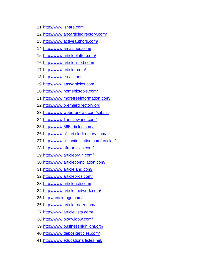- [.http://www.isnare.com](http://www.isnare.com/)
- [.http://www.abcarticledirectory.com/](http://www.abcarticledirectory.com/)
- [.http://www.activeauthors.com/](http://www.activeauthors.com/)
- [.http://www.amazines.com/](http://www.amazines.com/)
- [.http://www.articleblotter.com/](http://www.articleblotter.com/)
- [.http://www.articlelisted.com/](http://www.articlelisted.com/)
- [.http://www.articler.com/](http://www.articler.com/)
- [.http://www.e-calc.net](http://www.e-calc.net/)
- 19. http://www.easyarticles.com
- [.http://www.homebiztools.com/](http://www.homebiztools.com/)
- [.http://www.morefreeinformation.com/](http://www.morefreeinformation.com/)
- [.http://www.premierdirectory.org](http://www.premierdirectory.org/)
- 23. http://www.webpronews.com/submit
- [.http://www.1articleworld.com/](http://www.1articleworld.com/)
- [.http://www.365articles.com/](http://www.365articles.com/)
- [.http://www.a1-articledirectory.com/](http://www.a1-articledirectory.com/)
- [.http://www.a1-optimization.com/articles/](http://www.a1-optimization.com/articles/)
- [.http://www.afroarticles.com/](http://www.afroarticles.com/)
- [.http://www.articlebrain.com/](http://www.articlebrain.com/)
- [.http://www.articlecompilation.com/](http://www.articlecompilation.com/)
- [.http://www.articleland.com/](http://www.articleland.com/)
- [.http://www.articlepros.com/](http://www.articlepros.com/)
- [.http://www.articlerich.com/](http://www.articlerich.com/)
- [.http://www.articlesnetwork.com/](http://www.articlesnetwork.com/)
- [.http://articletogo.com/](http://articletogo.com/)
- [.http://www.articletrader.com/](http://www.articletrader.com/)
- [.http://www.articlevista.com/](http://www.articlevista.com/)
- [.http://www.blogwidow.com/](http://www.blogwidow.com/)
- [.http://www.businesshighlight.org/](http://www.businesshighlight.org/)
- [.http://www.depositarticles.com/](http://www.depositarticles.com/)
- [.http://www.educationarticles.net/](http://www.educationarticles.net/)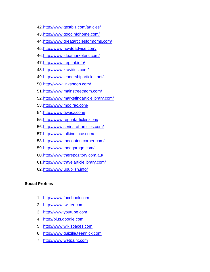- [.http://www.gestbiz.com/articles/](http://www.gestbiz.com/articles/)
- [.http://www.goodinfohome.com/](http://www.goodinfohome.com/)
- [.http://www.greatarticlesformoms.com/](http://www.greatarticlesformoms.com/)
- [.http://www.howtoadvice.com/](http://www.howtoadvice.com/)
- [.http://www.ideamarketers.com/](http://www.ideamarketers.com/)
- 47. http://www.ireprint.info/
- [.http://www.kravities.com/](http://www.kravities.com/)
- [.http://www.leadershiparticles.net/](http://www.leadershiparticles.net/)
- [.http://www.linksnoop.com/](http://www.linksnoop.com/)
- [.http://www.mainstreetmom.com/](http://www.mainstreetmom.com/)
- [.http://www.marketingarticlelibrary.com/](http://www.marketingarticlelibrary.com/)
- [.http://www.modirac.com/](http://www.modirac.com/)
- [.http://www.qwesz.com/](http://www.qwesz.com/)
- [.http://www.reprintarticles.com/](http://www.reprintarticles.com/)
- [.http://www.series-of-articles.com/](http://www.series-of-articles.com/)
- [.http://www.talkinmince.com/](http://www.talkinmince.com/)
- [.http://www.thecontentcorner.com/](http://www.thecontentcorner.com/)
- [.http://www.theegarage.com/](http://www.theegarage.com/)
- [.http://www.therepozitory.com.au/](http://www.therepozitory.com.au/)
- [.http://www.travelarticlelibrary.com/](http://www.travelarticlelibrary.com/)
- [.http://www.upublish.info/](http://www.upublish.info/)

#### **Social Profiles**

- 1. [http://www.facebook.com](http://www.facebook.com/)
- 2. [http://www.twitter.com](http://www.twitter.com/)
- 3. [http://www.youtube.com](http://www.youtube.com/)
- 4. [http://plus.google.com](http://plus.google.com/)
- 5. [http://www.wikispaces.com](http://www.wikispaces.com/)
- 6. [http://www.quizilla.teennick.com](http://www.quizilla.teennick.com/)
- 7. [http://www.wetpaint.com](http://www.wetpaint.com/)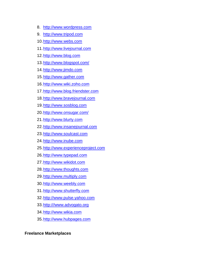- 8. [http://www.wordpress.com](http://www.wordpress.com/)
- 9. [http://www.tripod.com](http://www.tripod.com/)
- [.http://www.webs.com](http://www.webs.com/)
- [.http://www.livejournal.com](http://www.livejournal.com/)
- [.http://www.blog.com](http://www.blog.com/)
- [.http://www.blogspot.com/](http://www.blogspot.com/)
- 14. http://www.jimdo.com
- [.http://www.gather.com](http://www.gather.com/)
- [.http://www.wiki.zoho.com](http://www.wiki.zoho.com/)
- [.http://www.blog.friendster.com](http://www.blog.friendster.com/)
- [.http://www.bravejournal.com](http://www.bravejournal.com/)
- [.http://www.sosblog.com](http://www.sosblog.com/)
- [.http://www.onsugar.com/](http://www.onsugar.com/)
- [.http://www.blurty.com](http://www.blurty.com/)
- [.http://www.insanejournal.com](http://www.insanejournal.com/)
- [.http://www.soulcast.com](http://www.soulcast.com/)
- [.http://www.inube.com](http://www.inube.com/)
- [.http://www.experienceproject.com](http://www.experienceproject.com/)
- [.http://www.typepad.com](http://www.typepad.com/)
- [.http://www.wikidot.com](http://www.wikidot.com/)
- [.http://www.thoughts.com](http://www.thoughts.com/)
- [.http://www.multiply.com](http://www.multiply.com/)
- [.http://www.weebly.com](http://www.weebly.com/)
- [.http://www.shutterfly.com](http://www.shutterfly.com/)
- [.http://www.pulse.yahoo.com](http://www.pulse.yahoo.com/)
- [.http:///www.advogato.org](http://www.advogato.org)
- [.http://www.wikia.com](http://www.wikia.com/)
- [.http://www.hubpages.com](http://www.hubpages.com/)

#### **Freelance Marketplaces**